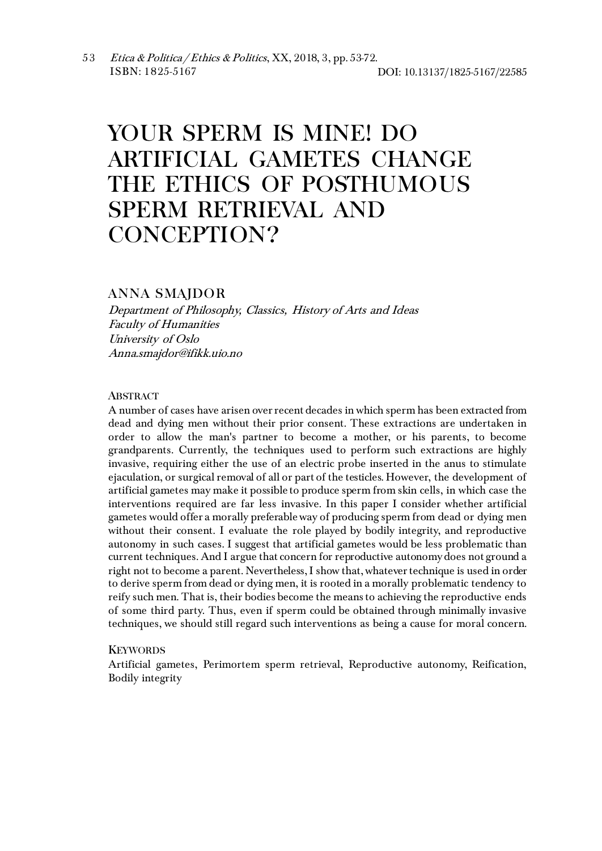# YOUR SPERM IS MINE! DO ARTIFICIAL GAMETES CHANGE THE ETHICS OF POSTHUMOUS SPERM RETRIEVAL AND CONCEPTION?

## ANNA SMAJDOR

Department of Philosophy, Classics, History of Arts and Ideas Faculty of Humanities University of Oslo Anna.smajdor@ifikk.uio.no

### **ABSTRACT**

A number of cases have arisen over recent decades in which sperm has been extracted from dead and dying men without their prior consent. These extractions are undertaken in order to allow the man's partner to become a mother, or his parents, to become grandparents. Currently, the techniques used to perform such extractions are highly invasive, requiring either the use of an electric probe inserted in the anus to stimulate ejaculation, or surgical removal of all or part of the testicles. However, the development of artificial gametes may make it possible to produce sperm from skin cells, in which case the interventions required are far less invasive. In this paper I consider whether artificial gametes would offer a morally preferable way of producing sperm from dead or dying men without their consent. I evaluate the role played by bodily integrity, and reproductive autonomy in such cases. I suggest that artificial gametes would be less problematic than current techniques. And I argue that concern for reproductive autonomy does not ground a right not to become a parent. Nevertheless, I show that, whatever technique is used in order to derive sperm from dead or dying men, it is rooted in a morally problematic tendency to reify such men. That is, their bodies become the means to achieving the reproductive ends of some third party. Thus, even if sperm could be obtained through minimally invasive techniques, we should still regard such interventions as being a cause for moral concern.

#### **KEYWORDS**

Artificial gametes, Perimortem sperm retrieval, Reproductive autonomy, Reification, Bodily integrity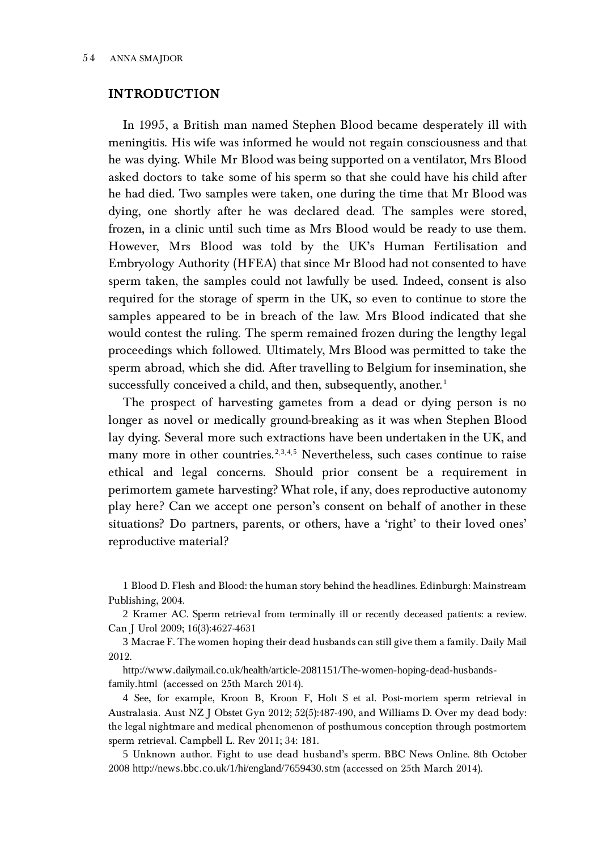## INTRODUCTION

In 1995, a British man named Stephen Blood became desperately ill with meningitis. His wife was informed he would not regain consciousness and that he was dying. While Mr Blood was being supported on a ventilator, Mrs Blood asked doctors to take some of his sperm so that she could have his child after he had died. Two samples were taken, one during the time that Mr Blood was dying, one shortly after he was declared dead. The samples were stored, frozen, in a clinic until such time as Mrs Blood would be ready to use them. However, Mrs Blood was told by the UK's Human Fertilisation and Embryology Authority (HFEA) that since Mr Blood had not consented to have sperm taken, the samples could not lawfully be used. Indeed, consent is also required for the storage of sperm in the UK, so even to continue to store the samples appeared to be in breach of the law. Mrs Blood indicated that she would contest the ruling. The sperm remained frozen during the lengthy legal proceedings which followed. Ultimately, Mrs Blood was permitted to take the sperm abroad, which she did. After travelling to Belgium for insemination, she successfully conceived a child, and then, subsequently, another.<sup>[1](#page-1-0)</sup>

The prospect of harvesting gametes from a dead or dying person is no longer as novel or medically ground-breaking as it was when Stephen Blood lay dying. Several more such extractions have been undertaken in the UK, and many more in other countries.<sup>[2](#page-1-1),[3](#page-1-2),[4](#page-1-3),[5](#page-1-4)</sup> Nevertheless, such cases continue to raise ethical and legal concerns. Should prior consent be a requirement in perimortem gamete harvesting? What role, if any, does reproductive autonomy play here? Can we accept one person's consent on behalf of another in these situations? Do partners, parents, or others, have a 'right' to their loved ones' reproductive material?

<span id="page-1-0"></span>1 Blood D. Flesh and Blood: the human story behind the headlines. Edinburgh: Mainstream Publishing, 2004.

<span id="page-1-1"></span>2 Kramer AC. Sperm retrieval from terminally ill or recently deceased patients: a review. Can J Urol 2009; 16(3):4627-4631

<span id="page-1-2"></span>3 Macrae F. The women hoping their dead husbands can still give them a family. Daily Mail 2012.

http://www.dailymail.co.uk/health/article-2081151/The-women-hoping-dead-husbandsfamily.html (accessed on 25th March 2014).

<span id="page-1-3"></span>4 See, for example, Kroon B, Kroon F, Holt S et al. Post‐mortem sperm retrieval in Australasia. Aust NZ J Obstet Gyn 2012; 52(5):487-490, and Williams D. Over my dead body: the legal nightmare and medical phenomenon of posthumous conception through postmortem sperm retrieval. Campbell L. Rev 2011; 34: 181.

<span id="page-1-4"></span>5 Unknown author. Fight to use dead husband's sperm. BBC News Online. 8th October 2008 http://news.bbc.co.uk/1/hi/england/7659430.stm (accessed on 25th March 2014).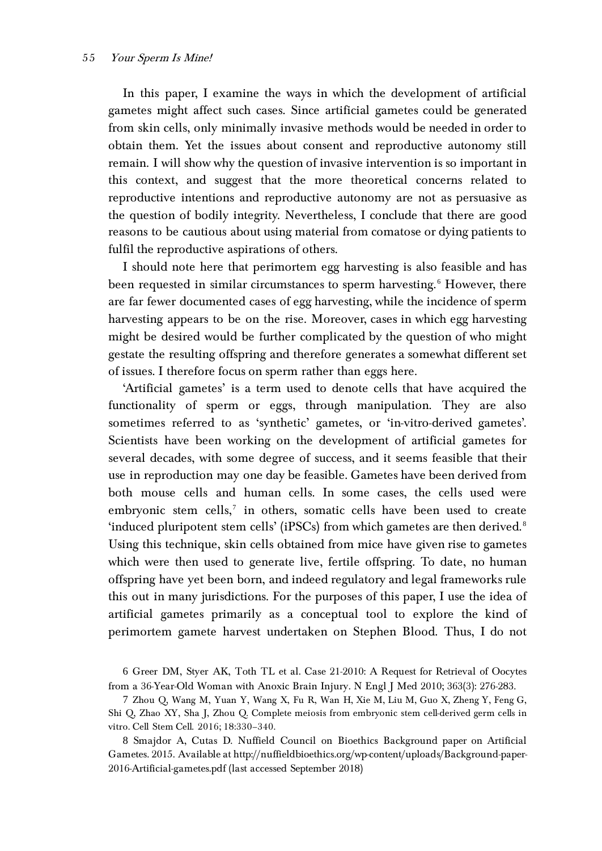In this paper, I examine the ways in which the development of artificial gametes might affect such cases. Since artificial gametes could be generated from skin cells, only minimally invasive methods would be needed in order to obtain them. Yet the issues about consent and reproductive autonomy still remain. I will show why the question of invasive intervention is so important in this context, and suggest that the more theoretical concerns related to reproductive intentions and reproductive autonomy are not as persuasive as the question of bodily integrity. Nevertheless, I conclude that there are good reasons to be cautious about using material from comatose or dying patients to fulfil the reproductive aspirations of others.

I should note here that perimortem egg harvesting is also feasible and has been requested in similar circumstances to sperm harvesting. [6](#page-2-0) However, there are far fewer documented cases of egg harvesting, while the incidence of sperm harvesting appears to be on the rise. Moreover, cases in which egg harvesting might be desired would be further complicated by the question of who might gestate the resulting offspring and therefore generates a somewhat different set of issues. I therefore focus on sperm rather than eggs here.

'Artificial gametes' is a term used to denote cells that have acquired the functionality of sperm or eggs, through manipulation. They are also sometimes referred to as 'synthetic' gametes, or 'in-vitro-derived gametes'. Scientists have been working on the development of artificial gametes for several decades, with some degree of success, and it seems feasible that their use in reproduction may one day be feasible. Gametes have been derived from both mouse cells and human cells. In some cases, the cells used were embryonic stem cells,<sup>[7](#page-2-1)</sup> in others, somatic cells have been used to create 'induced pluripotent stem cells' (iPSCs) from which gametes are then derived. [8](#page-2-2) Using this technique, skin cells obtained from mice have given rise to gametes which were then used to generate live, fertile offspring. To date, no human offspring have yet been born, and indeed regulatory and legal frameworks rule this out in many jurisdictions. For the purposes of this paper, I use the idea of artificial gametes primarily as a conceptual tool to explore the kind of perimortem gamete harvest undertaken on Stephen Blood. Thus, I do not

<span id="page-2-0"></span>6 Greer DM, Styer AK, Toth TL et al. Case 21-2010: A Request for Retrieval of Oocytes from a 36-Year-Old Woman with Anoxic Brain Injury. N Engl J Med 2010; 363(3): 276-283.

<span id="page-2-1"></span>7 Zhou Q, Wang M, Yuan Y, Wang X, Fu R, Wan H, Xie M, Liu M, Guo X, Zheng Y, Feng G, Shi Q, Zhao XY, Sha J, Zhou Q. Complete meiosis from embryonic stem cell-derived germ cells in vitro. Cell Stem Cell. 2016; 18:330–340.

<span id="page-2-2"></span>8 Smajdor A, Cutas D. Nuffield Council on Bioethics Background paper on Artificial Gametes. 2015. Available at http://nuffieldbioethics.org/wp-content/uploads/Background-paper-2016-Artificial-gametes.pdf (last accessed September 2018)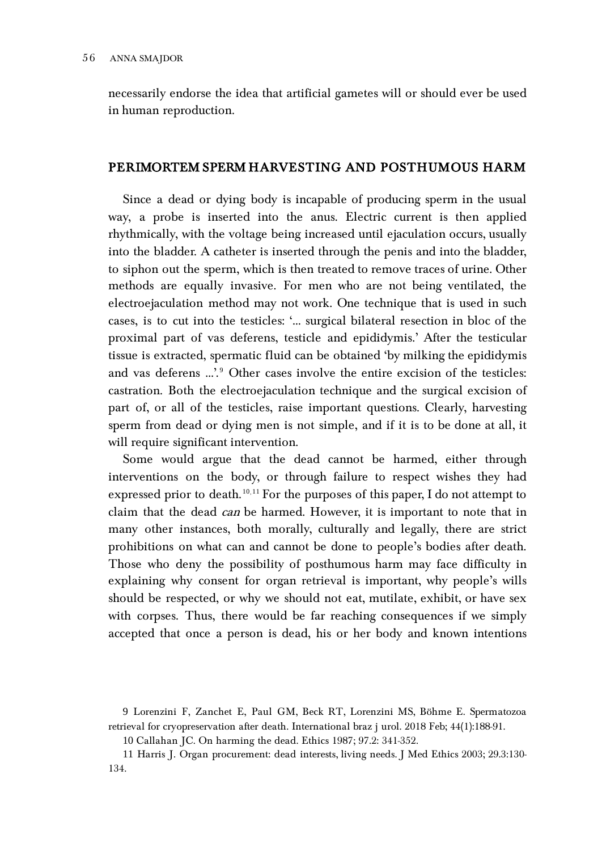necessarily endorse the idea that artificial gametes will or should ever be used in human reproduction.

## PERIMORTEM SPERM HARVESTING AND POSTHUMOUS HARM

Since a dead or dying body is incapable of producing sperm in the usual way, a probe is inserted into the anus. Electric current is then applied rhythmically, with the voltage being increased until ejaculation occurs, usually into the bladder. A catheter is inserted through the penis and into the bladder, to siphon out the sperm, which is then treated to remove traces of urine. Other methods are equally invasive. For men who are not being ventilated, the electroejaculation method may not work. One technique that is used in such cases, is to cut into the testicles: '… surgical bilateral resection in bloc of the proximal part of vas deferens, testicle and epididymis.' After the testicular tissue is extracted, spermatic fluid can be obtained 'by milking the epididymis and vas deferens ...'.<sup>[9](#page-3-0)</sup> Other cases involve the entire excision of the testicles: castration. Both the electroejaculation technique and the surgical excision of part of, or all of the testicles, raise important questions. Clearly, harvesting sperm from dead or dying men is not simple, and if it is to be done at all, it will require significant intervention.

Some would argue that the dead cannot be harmed, either through interventions on the body, or through failure to respect wishes they had expressed prior to death.<sup>[10](#page-3-1),[11](#page-3-2)</sup> For the purposes of this paper, I do not attempt to claim that the dead can be harmed. However, it is important to note that in many other instances, both morally, culturally and legally, there are strict prohibitions on what can and cannot be done to people's bodies after death. Those who deny the possibility of posthumous harm may face difficulty in explaining why consent for organ retrieval is important, why people's wills should be respected, or why we should not eat, mutilate, exhibit, or have sex with corpses. Thus, there would be far reaching consequences if we simply accepted that once a person is dead, his or her body and known intentions

<span id="page-3-0"></span><sup>9</sup> Lorenzini F, Zanchet E, Paul GM, Beck RT, Lorenzini MS, Böhme E. Spermatozoa retrieval for cryopreservation after death. International braz j urol. 2018 Feb; 44(1):188-91.

<sup>10</sup> Callahan JC. On harming the dead. Ethics 1987; 97.2: 341-352.

<span id="page-3-2"></span><span id="page-3-1"></span><sup>11</sup> Harris J. Organ procurement: dead interests, living needs. J Med Ethics 2003; 29.3:130- 134.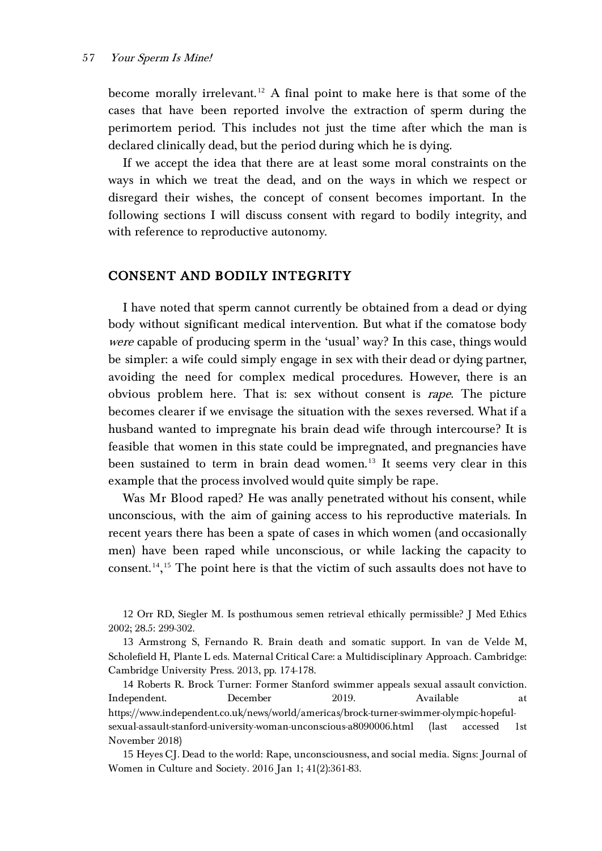become morally irrelevant.<sup>[12](#page-4-0)</sup> A final point to make here is that some of the cases that have been reported involve the extraction of sperm during the perimortem period. This includes not just the time after which the man is declared clinically dead, but the period during which he is dying.

If we accept the idea that there are at least some moral constraints on the ways in which we treat the dead, and on the ways in which we respect or disregard their wishes, the concept of consent becomes important. In the following sections I will discuss consent with regard to bodily integrity, and with reference to reproductive autonomy.

## CONSENT AND BODILY INTEGRITY

I have noted that sperm cannot currently be obtained from a dead or dying body without significant medical intervention. But what if the comatose body were capable of producing sperm in the 'usual' way? In this case, things would be simpler: a wife could simply engage in sex with their dead or dying partner, avoiding the need for complex medical procedures. However, there is an obvious problem here. That is: sex without consent is *rape*. The picture becomes clearer if we envisage the situation with the sexes reversed. What if a husband wanted to impregnate his brain dead wife through intercourse? It is feasible that women in this state could be impregnated, and pregnancies have been sustained to term in brain dead women.<sup>[13](#page-4-1)</sup> It seems very clear in this example that the process involved would quite simply be rape.

Was Mr Blood raped? He was anally penetrated without his consent, while unconscious, with the aim of gaining access to his reproductive materials. In recent years there has been a spate of cases in which women (and occasionally men) have been raped while unconscious, or while lacking the capacity to consent. [14](#page-4-2), [15](#page-4-3) The point here is that the victim of such assaults does not have to

<span id="page-4-2"></span>14 Roberts R. Brock Turner: Former Stanford swimmer appeals sexual assault conviction. Independent. December 2019. Available at https://www.independent.co.uk/news/world/americas/brock-turner-swimmer-olympic-hopefulsexual-assault-stanford-university-woman-unconscious-a8090006.html (last accessed 1st November 2018)

<span id="page-4-3"></span>15 Heyes CJ. Dead to the world: Rape, unconsciousness, and social media. Signs: Journal of Women in Culture and Society. 2016 Jan 1; 41(2):361-83.

<span id="page-4-0"></span><sup>12</sup> Orr RD, Siegler M. Is posthumous semen retrieval ethically permissible? J Med Ethics 2002; 28.5: 299-302.

<span id="page-4-1"></span><sup>13</sup> Armstrong S, Fernando R. Brain death and somatic support. In van de Velde M, Scholefield H, Plante L eds. Maternal Critical Care: a Multidisciplinary Approach. Cambridge: Cambridge University Press. 2013, pp. 174-178.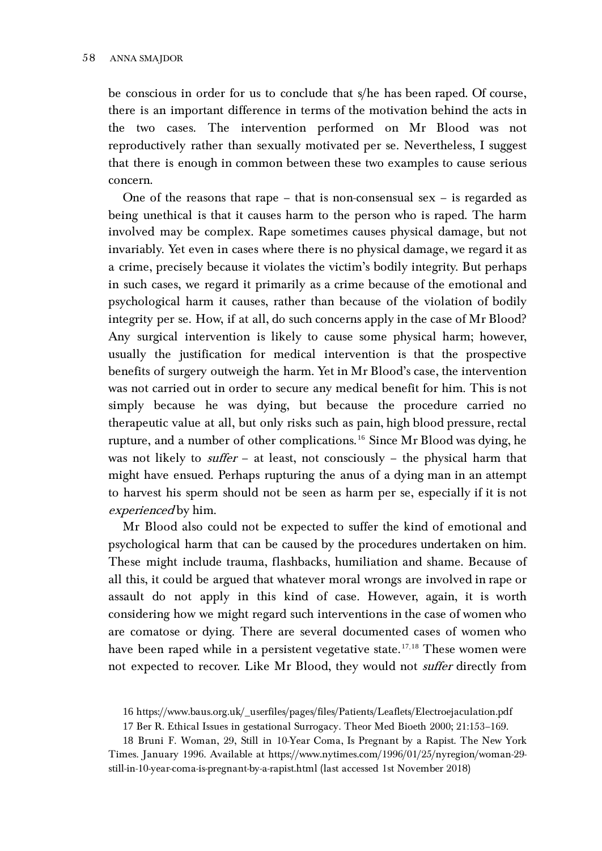be conscious in order for us to conclude that s/he has been raped. Of course, there is an important difference in terms of the motivation behind the acts in the two cases. The intervention performed on Mr Blood was not reproductively rather than sexually motivated per se. Nevertheless, I suggest that there is enough in common between these two examples to cause serious concern.

One of the reasons that rape – that is non-consensual sex – is regarded as being unethical is that it causes harm to the person who is raped. The harm involved may be complex. Rape sometimes causes physical damage, but not invariably. Yet even in cases where there is no physical damage, we regard it as a crime, precisely because it violates the victim's bodily integrity. But perhaps in such cases, we regard it primarily as a crime because of the emotional and psychological harm it causes, rather than because of the violation of bodily integrity per se. How, if at all, do such concerns apply in the case of Mr Blood? Any surgical intervention is likely to cause some physical harm; however, usually the justification for medical intervention is that the prospective benefits of surgery outweigh the harm. Yet in Mr Blood's case, the intervention was not carried out in order to secure any medical benefit for him. This is not simply because he was dying, but because the procedure carried no therapeutic value at all, but only risks such as pain, high blood pressure, rectal rupture, and a number of other complications. [16](#page-5-0) Since Mr Blood was dying, he was not likely to *suffer* – at least, not consciously – the physical harm that might have ensued. Perhaps rupturing the anus of a dying man in an attempt to harvest his sperm should not be seen as harm per se, especially if it is not experienced by him.

Mr Blood also could not be expected to suffer the kind of emotional and psychological harm that can be caused by the procedures undertaken on him. These might include trauma, flashbacks, humiliation and shame. Because of all this, it could be argued that whatever moral wrongs are involved in rape or assault do not apply in this kind of case. However, again, it is worth considering how we might regard such interventions in the case of women who are comatose or dying. There are several documented cases of women who have been raped while in a persistent vegetative state.<sup>[17](#page-5-1),[18](#page-5-2)</sup> These women were not expected to recover. Like Mr Blood, they would not suffer directly from

<sup>16</sup> https://www.baus.org.uk/\_userfiles/pages/files/Patients/Leaflets/Electroejaculation.pdf

<sup>17</sup> Ber R. Ethical Issues in gestational Surrogacy. Theor Med Bioeth 2000; 21:153–169.

<span id="page-5-2"></span><span id="page-5-1"></span><span id="page-5-0"></span><sup>18</sup> Bruni F. Woman, 29, Still in 10-Year Coma, Is Pregnant by a Rapist. The New York Times. January 1996. Available at https://www.nytimes.com/1996/01/25/nyregion/woman-29 still-in-10-year-coma-is-pregnant-by-a-rapist.html (last accessed 1st November 2018)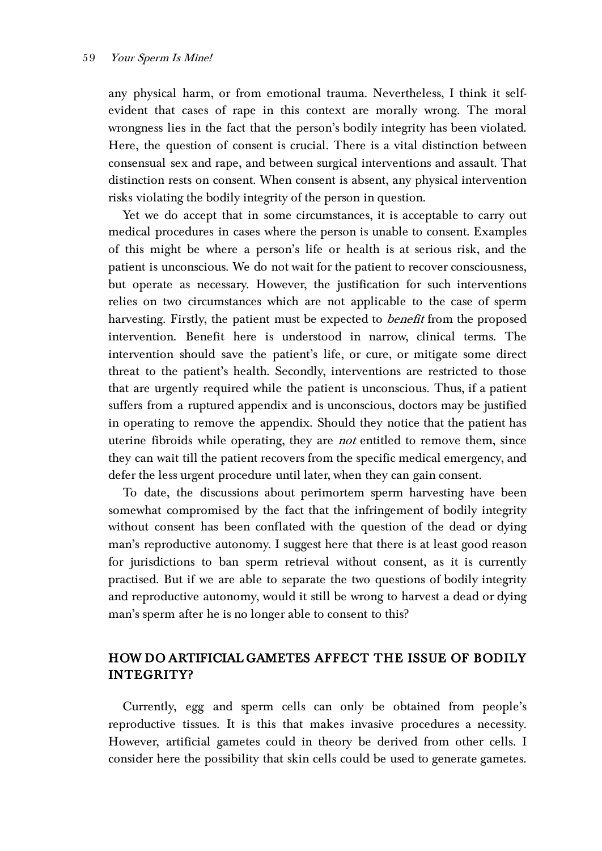any physical harm, or from emotional trauma. Nevertheless, I think it selfevident that cases of rape in this context are morally wrong. The moral wrongness lies in the fact that the person's bodily integrity has been violated. Here, the question of consent is crucial. There is a vital distinction between consensual sex and rape, and between surgical interventions and assault. That distinction rests on consent. When consent is absent, any physical intervention risks violating the bodily integrity of the person in question.

Yet we do accept that in some circumstances, it is acceptable to carry out medical procedures in cases where the person is unable to consent. Examples of this might be where a person's life or health is at serious risk, and the patient is unconscious. We do not wait for the patient to recover consciousness, but operate as necessary. However, the justification for such interventions relies on two circumstances which are not applicable to the case of sperm harvesting. Firstly, the patient must be expected to *benefit* from the proposed intervention. Benefit here is understood in narrow, clinical terms. The intervention should save the patient's life, or cure, or mitigate some direct threat to the patient's health. Secondly, interventions are restricted to those that are urgently required while the patient is unconscious. Thus, if a patient suffers from a ruptured appendix and is unconscious, doctors may be justified in operating to remove the appendix. Should they notice that the patient has uterine fibroids while operating, they are *not* entitled to remove them, since they can wait till the patient recovers from the specific medical emergency, and defer the less urgent procedure until later, when they can gain consent.

To date, the discussions about perimortem sperm harvesting have been somewhat compromised by the fact that the infringement of bodily integrity without consent has been conflated with the question of the dead or dying man's reproductive autonomy. I suggest here that there is at least good reason for jurisdictions to ban sperm retrieval without consent, as it is currently practised. But if we are able to separate the two questions of bodily integrity and reproductive autonomy, would it still be wrong to harvest a dead or dying man's sperm after he is no longer able to consent to this?

## HOW DO ARTIFICIAL GAMETES AFFECT THE ISSUE OF BODILY INTEGRITY?

Currently, egg and sperm cells can only be obtained from people's reproductive tissues. It is this that makes invasive procedures a necessity. However, artificial gametes could in theory be derived from other cells. I consider here the possibility that skin cells could be used to generate gametes.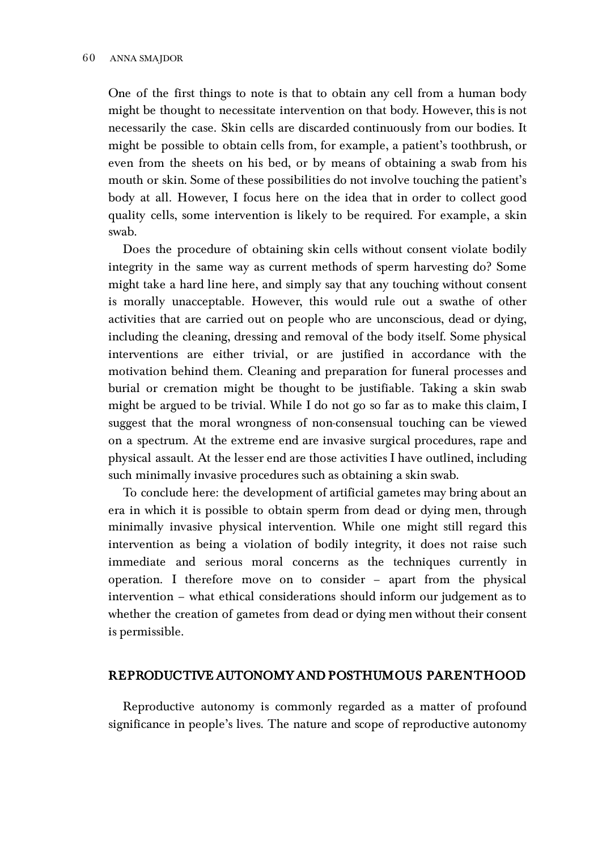One of the first things to note is that to obtain any cell from a human body might be thought to necessitate intervention on that body. However, this is not necessarily the case. Skin cells are discarded continuously from our bodies. It might be possible to obtain cells from, for example, a patient's toothbrush, or even from the sheets on his bed, or by means of obtaining a swab from his mouth or skin. Some of these possibilities do not involve touching the patient's body at all. However, I focus here on the idea that in order to collect good quality cells, some intervention is likely to be required. For example, a skin swab.

Does the procedure of obtaining skin cells without consent violate bodily integrity in the same way as current methods of sperm harvesting do? Some might take a hard line here, and simply say that any touching without consent is morally unacceptable. However, this would rule out a swathe of other activities that are carried out on people who are unconscious, dead or dying, including the cleaning, dressing and removal of the body itself. Some physical interventions are either trivial, or are justified in accordance with the motivation behind them. Cleaning and preparation for funeral processes and burial or cremation might be thought to be justifiable. Taking a skin swab might be argued to be trivial. While I do not go so far as to make this claim, I suggest that the moral wrongness of non-consensual touching can be viewed on a spectrum. At the extreme end are invasive surgical procedures, rape and physical assault. At the lesser end are those activities I have outlined, including such minimally invasive procedures such as obtaining a skin swab.

To conclude here: the development of artificial gametes may bring about an era in which it is possible to obtain sperm from dead or dying men, through minimally invasive physical intervention. While one might still regard this intervention as being a violation of bodily integrity, it does not raise such immediate and serious moral concerns as the techniques currently in operation. I therefore move on to consider – apart from the physical intervention – what ethical considerations should inform our judgement as to whether the creation of gametes from dead or dying men without their consent is permissible.

## REPRODUCTIVE AUTONOMY AND POSTHUMOUS PARENTHOOD

Reproductive autonomy is commonly regarded as a matter of profound significance in people's lives. The nature and scope of reproductive autonomy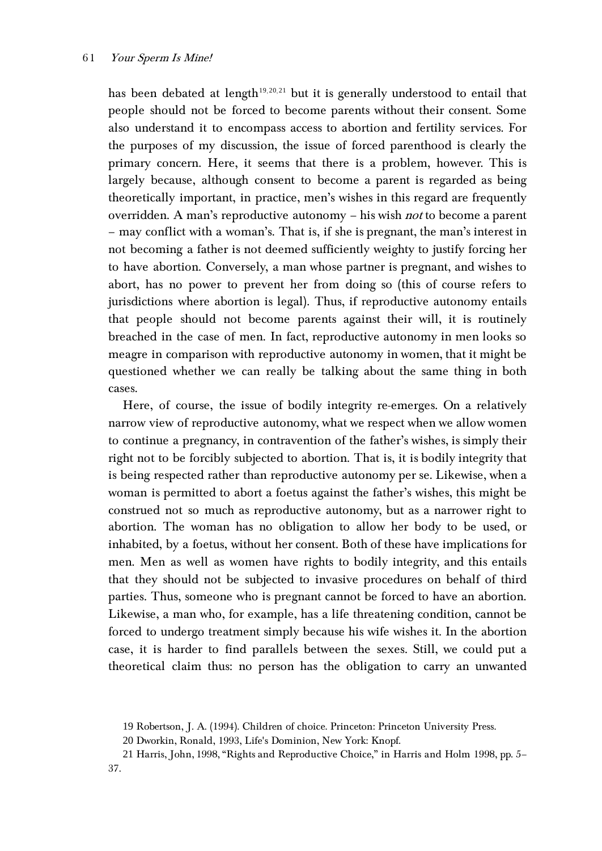has been debated at length<sup>[19](#page-8-0), [20](#page-8-1), [21](#page-8-2)</sup> but it is generally understood to entail that people should not be forced to become parents without their consent. Some also understand it to encompass access to abortion and fertility services. For the purposes of my discussion, the issue of forced parenthood is clearly the primary concern. Here, it seems that there is a problem, however. This is largely because, although consent to become a parent is regarded as being theoretically important, in practice, men's wishes in this regard are frequently overridden. A man's reproductive autonomy – his wish *not* to become a parent – may conflict with a woman's. That is, if she is pregnant, the man's interest in not becoming a father is not deemed sufficiently weighty to justify forcing her to have abortion. Conversely, a man whose partner is pregnant, and wishes to abort, has no power to prevent her from doing so (this of course refers to jurisdictions where abortion is legal). Thus, if reproductive autonomy entails that people should not become parents against their will, it is routinely breached in the case of men. In fact, reproductive autonomy in men looks so meagre in comparison with reproductive autonomy in women, that it might be questioned whether we can really be talking about the same thing in both cases.

Here, of course, the issue of bodily integrity re-emerges. On a relatively narrow view of reproductive autonomy, what we respect when we allow women to continue a pregnancy, in contravention of the father's wishes, is simply their right not to be forcibly subjected to abortion. That is, it is bodily integrity that is being respected rather than reproductive autonomy per se. Likewise, when a woman is permitted to abort a foetus against the father's wishes, this might be construed not so much as reproductive autonomy, but as a narrower right to abortion. The woman has no obligation to allow her body to be used, or inhabited, by a foetus, without her consent. Both of these have implications for men. Men as well as women have rights to bodily integrity, and this entails that they should not be subjected to invasive procedures on behalf of third parties. Thus, someone who is pregnant cannot be forced to have an abortion. Likewise, a man who, for example, has a life threatening condition, cannot be forced to undergo treatment simply because his wife wishes it. In the abortion case, it is harder to find parallels between the sexes. Still, we could put a theoretical claim thus: no person has the obligation to carry an unwanted

<sup>19</sup> Robertson, J. A. (1994). Children of choice. Princeton: Princeton University Press.

<sup>20</sup> Dworkin, Ronald, 1993, Life's Dominion, New York: Knopf.

<span id="page-8-2"></span><span id="page-8-1"></span><span id="page-8-0"></span><sup>21</sup> Harris, John, 1998, "Rights and Reproductive Choice," in Harris and Holm 1998, pp. 5– 37.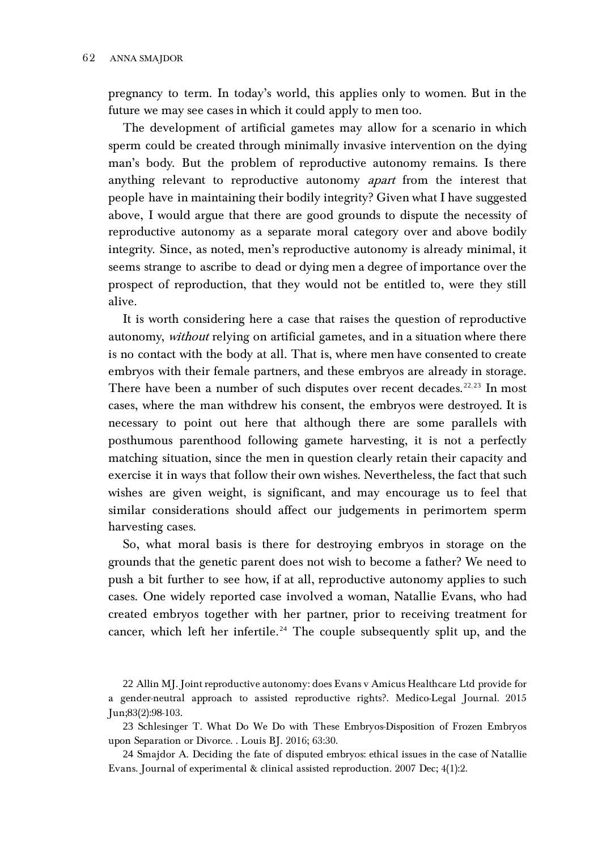pregnancy to term. In today's world, this applies only to women. But in the future we may see cases in which it could apply to men too.

The development of artificial gametes may allow for a scenario in which sperm could be created through minimally invasive intervention on the dying man's body. But the problem of reproductive autonomy remains. Is there anything relevant to reproductive autonomy apart from the interest that people have in maintaining their bodily integrity? Given what I have suggested above, I would argue that there are good grounds to dispute the necessity of reproductive autonomy as a separate moral category over and above bodily integrity. Since, as noted, men's reproductive autonomy is already minimal, it seems strange to ascribe to dead or dying men a degree of importance over the prospect of reproduction, that they would not be entitled to, were they still alive.

It is worth considering here a case that raises the question of reproductive autonomy, without relying on artificial gametes, and in a situation where there is no contact with the body at all. That is, where men have consented to create embryos with their female partners, and these embryos are already in storage. There have been a number of such disputes over recent decades.<sup>[22](#page-9-0),[23](#page-9-1)</sup> In most cases, where the man withdrew his consent, the embryos were destroyed. It is necessary to point out here that although there are some parallels with posthumous parenthood following gamete harvesting, it is not a perfectly matching situation, since the men in question clearly retain their capacity and exercise it in ways that follow their own wishes. Nevertheless, the fact that such wishes are given weight, is significant, and may encourage us to feel that similar considerations should affect our judgements in perimortem sperm harvesting cases.

So, what moral basis is there for destroying embryos in storage on the grounds that the genetic parent does not wish to become a father? We need to push a bit further to see how, if at all, reproductive autonomy applies to such cases. One widely reported case involved a woman, Natallie Evans, who had created embryos together with her partner, prior to receiving treatment for cancer, which left her infertile.<sup>[24](#page-9-2)</sup> The couple subsequently split up, and the

<span id="page-9-0"></span>22 Allin MJ. Joint reproductive autonomy: does Evans v Amicus Healthcare Ltd provide for a gender-neutral approach to assisted reproductive rights?. Medico-Legal Journal. 2015 Jun;83(2):98-103.

<span id="page-9-1"></span>23 Schlesinger T. What Do We Do with These Embryos-Disposition of Frozen Embryos upon Separation or Divorce. . Louis BJ. 2016; 63:30.

<span id="page-9-2"></span>24 Smajdor A. Deciding the fate of disputed embryos: ethical issues in the case of Natallie Evans. Journal of experimental & clinical assisted reproduction. 2007 Dec; 4(1):2.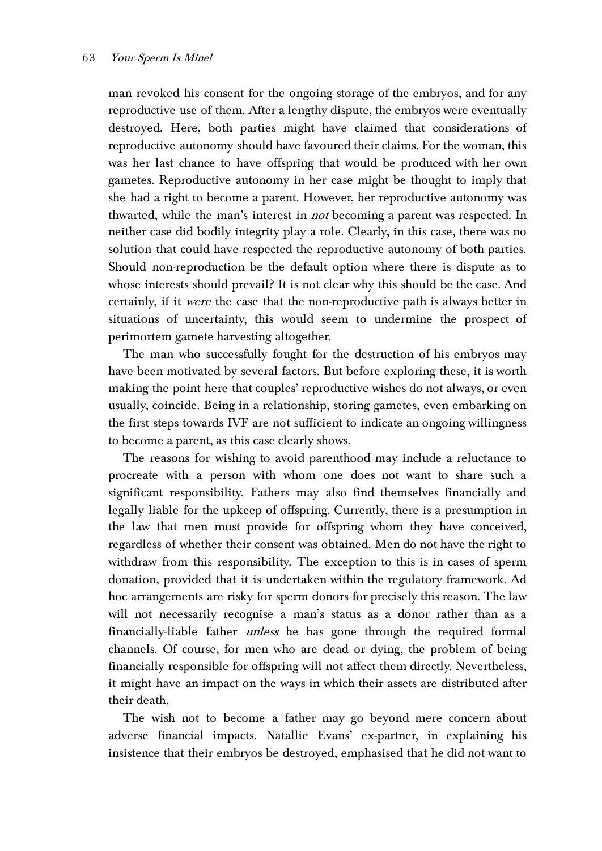man revoked his consent for the ongoing storage of the embryos, and for any reproductive use of them. After a lengthy dispute, the embryos were eventually destroyed. Here, both parties might have claimed that considerations of reproductive autonomy should have favoured their claims. For the woman, this was her last chance to have offspring that would be produced with her own gametes. Reproductive autonomy in her case might be thought to imply that she had a right to become a parent. However, her reproductive autonomy was thwarted, while the man's interest in *not* becoming a parent was respected. In neither case did bodily integrity play a role. Clearly, in this case, there was no solution that could have respected the reproductive autonomy of both parties. Should non-reproduction be the default option where there is dispute as to whose interests should prevail? It is not clear why this should be the case. And certainly, if it were the case that the non-reproductive path is always better in situations of uncertainty, this would seem to undermine the prospect of perimortem gamete harvesting altogether.

The man who successfully fought for the destruction of his embryos may have been motivated by several factors. But before exploring these, it is worth making the point here that couples' reproductive wishes do not always, or even usually, coincide. Being in a relationship, storing gametes, even embarking on the first steps towards IVF are not sufficient to indicate an ongoing willingness to become a parent, as this case clearly shows.

The reasons for wishing to avoid parenthood may include a reluctance to procreate with a person with whom one does not want to share such a significant responsibility. Fathers may also find themselves financially and legally liable for the upkeep of offspring. Currently, there is a presumption in the law that men must provide for offspring whom they have conceived, regardless of whether their consent was obtained. Men do not have the right to withdraw from this responsibility. The exception to this is in cases of sperm donation, provided that it is undertaken within the regulatory framework. Ad hoc arrangements are risky for sperm donors for precisely this reason. The law will not necessarily recognise a man's status as a donor rather than as a financially-liable father unless he has gone through the required formal channels. Of course, for men who are dead or dying, the problem of being financially responsible for offspring will not affect them directly. Nevertheless, it might have an impact on the ways in which their assets are distributed after their death.

The wish not to become a father may go beyond mere concern about adverse financial impacts. Natallie Evans' ex-partner, in explaining his insistence that their embryos be destroyed, emphasised that he did not want to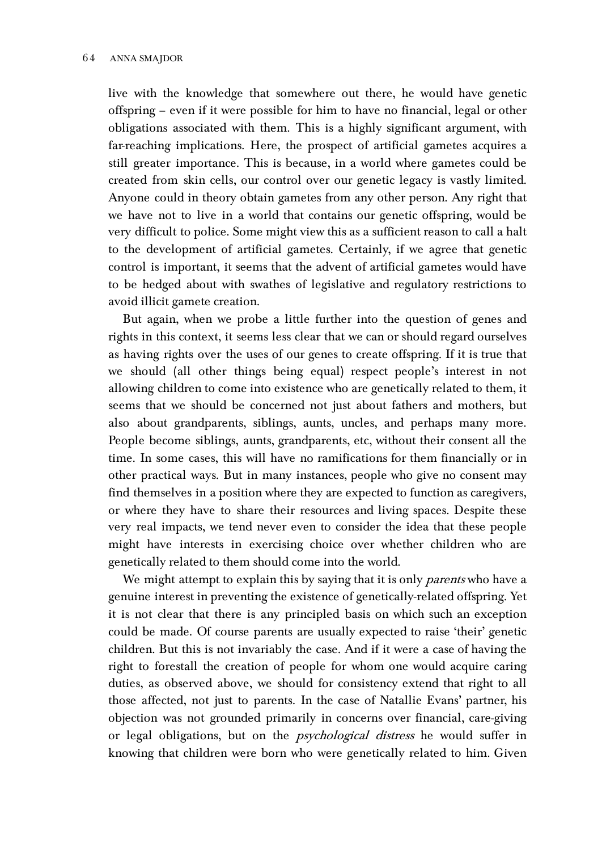live with the knowledge that somewhere out there, he would have genetic offspring – even if it were possible for him to have no financial, legal or other obligations associated with them. This is a highly significant argument, with far-reaching implications. Here, the prospect of artificial gametes acquires a still greater importance. This is because, in a world where gametes could be created from skin cells, our control over our genetic legacy is vastly limited. Anyone could in theory obtain gametes from any other person. Any right that we have not to live in a world that contains our genetic offspring, would be very difficult to police. Some might view this as a sufficient reason to call a halt to the development of artificial gametes. Certainly, if we agree that genetic control is important, it seems that the advent of artificial gametes would have to be hedged about with swathes of legislative and regulatory restrictions to avoid illicit gamete creation.

But again, when we probe a little further into the question of genes and rights in this context, it seems less clear that we can or should regard ourselves as having rights over the uses of our genes to create offspring. If it is true that we should (all other things being equal) respect people's interest in not allowing children to come into existence who are genetically related to them, it seems that we should be concerned not just about fathers and mothers, but also about grandparents, siblings, aunts, uncles, and perhaps many more. People become siblings, aunts, grandparents, etc, without their consent all the time. In some cases, this will have no ramifications for them financially or in other practical ways. But in many instances, people who give no consent may find themselves in a position where they are expected to function as caregivers, or where they have to share their resources and living spaces. Despite these very real impacts, we tend never even to consider the idea that these people might have interests in exercising choice over whether children who are genetically related to them should come into the world.

We might attempt to explain this by saying that it is only *parents* who have a genuine interest in preventing the existence of genetically-related offspring. Yet it is not clear that there is any principled basis on which such an exception could be made. Of course parents are usually expected to raise 'their' genetic children. But this is not invariably the case. And if it were a case of having the right to forestall the creation of people for whom one would acquire caring duties, as observed above, we should for consistency extend that right to all those affected, not just to parents. In the case of Natallie Evans' partner, his objection was not grounded primarily in concerns over financial, care-giving or legal obligations, but on the *psychological distress* he would suffer in knowing that children were born who were genetically related to him. Given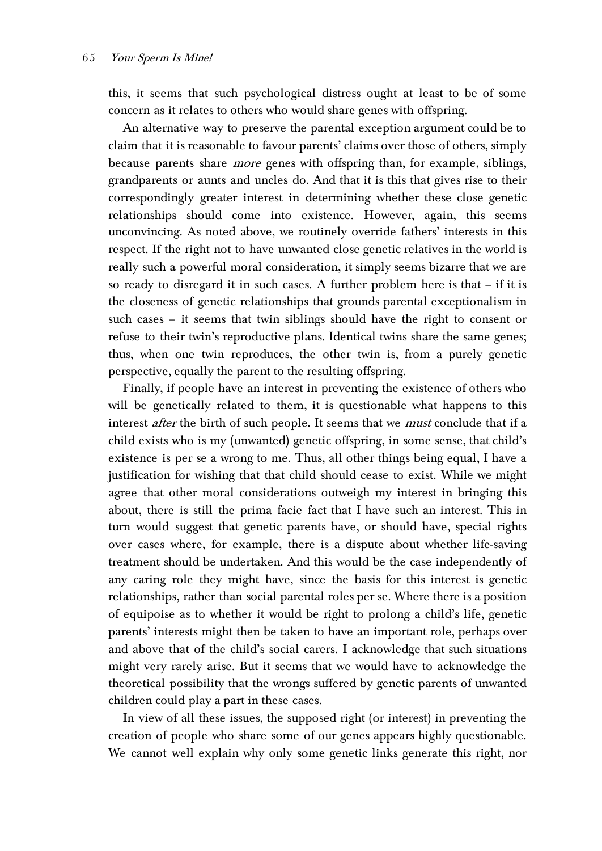this, it seems that such psychological distress ought at least to be of some concern as it relates to others who would share genes with offspring.

An alternative way to preserve the parental exception argument could be to claim that it is reasonable to favour parents' claims over those of others, simply because parents share *more* genes with offspring than, for example, siblings, grandparents or aunts and uncles do. And that it is this that gives rise to their correspondingly greater interest in determining whether these close genetic relationships should come into existence. However, again, this seems unconvincing. As noted above, we routinely override fathers' interests in this respect. If the right not to have unwanted close genetic relatives in the world is really such a powerful moral consideration, it simply seems bizarre that we are so ready to disregard it in such cases. A further problem here is that – if it is the closeness of genetic relationships that grounds parental exceptionalism in such cases – it seems that twin siblings should have the right to consent or refuse to their twin's reproductive plans. Identical twins share the same genes; thus, when one twin reproduces, the other twin is, from a purely genetic perspective, equally the parent to the resulting offspring.

Finally, if people have an interest in preventing the existence of others who will be genetically related to them, it is questionable what happens to this interest after the birth of such people. It seems that we *must* conclude that if a child exists who is my (unwanted) genetic offspring, in some sense, that child's existence is per se a wrong to me. Thus, all other things being equal, I have a justification for wishing that that child should cease to exist. While we might agree that other moral considerations outweigh my interest in bringing this about, there is still the prima facie fact that I have such an interest. This in turn would suggest that genetic parents have, or should have, special rights over cases where, for example, there is a dispute about whether life-saving treatment should be undertaken. And this would be the case independently of any caring role they might have, since the basis for this interest is genetic relationships, rather than social parental roles per se. Where there is a position of equipoise as to whether it would be right to prolong a child's life, genetic parents' interests might then be taken to have an important role, perhaps over and above that of the child's social carers. I acknowledge that such situations might very rarely arise. But it seems that we would have to acknowledge the theoretical possibility that the wrongs suffered by genetic parents of unwanted children could play a part in these cases.

In view of all these issues, the supposed right (or interest) in preventing the creation of people who share some of our genes appears highly questionable. We cannot well explain why only some genetic links generate this right, nor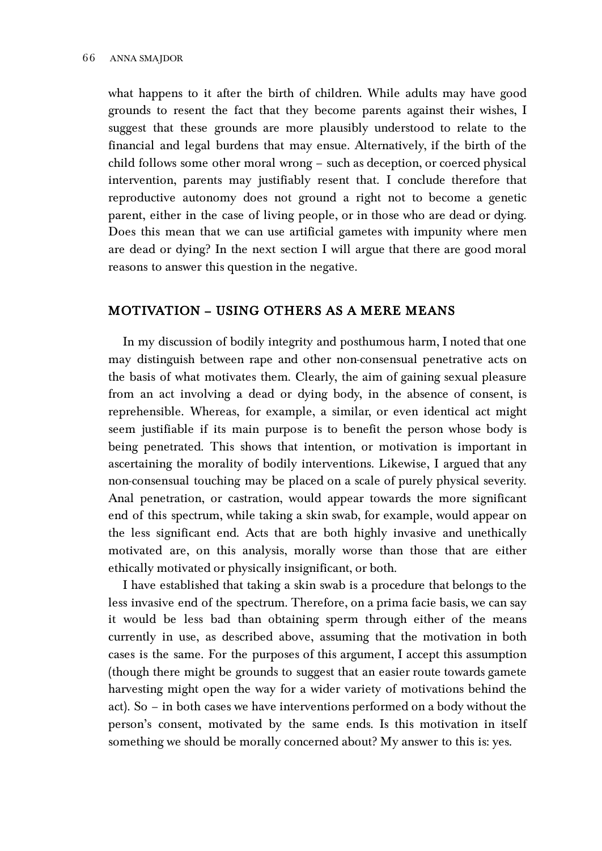what happens to it after the birth of children. While adults may have good grounds to resent the fact that they become parents against their wishes, I suggest that these grounds are more plausibly understood to relate to the financial and legal burdens that may ensue. Alternatively, if the birth of the child follows some other moral wrong – such as deception, or coerced physical intervention, parents may justifiably resent that. I conclude therefore that reproductive autonomy does not ground a right not to become a genetic parent, either in the case of living people, or in those who are dead or dying. Does this mean that we can use artificial gametes with impunity where men are dead or dying? In the next section I will argue that there are good moral reasons to answer this question in the negative.

## MOTIVATION – USING OTHERS AS A MERE MEANS

In my discussion of bodily integrity and posthumous harm, I noted that one may distinguish between rape and other non-consensual penetrative acts on the basis of what motivates them. Clearly, the aim of gaining sexual pleasure from an act involving a dead or dying body, in the absence of consent, is reprehensible. Whereas, for example, a similar, or even identical act might seem justifiable if its main purpose is to benefit the person whose body is being penetrated. This shows that intention, or motivation is important in ascertaining the morality of bodily interventions. Likewise, I argued that any non-consensual touching may be placed on a scale of purely physical severity. Anal penetration, or castration, would appear towards the more significant end of this spectrum, while taking a skin swab, for example, would appear on the less significant end. Acts that are both highly invasive and unethically motivated are, on this analysis, morally worse than those that are either ethically motivated or physically insignificant, or both.

I have established that taking a skin swab is a procedure that belongs to the less invasive end of the spectrum. Therefore, on a prima facie basis, we can say it would be less bad than obtaining sperm through either of the means currently in use, as described above, assuming that the motivation in both cases is the same. For the purposes of this argument, I accept this assumption (though there might be grounds to suggest that an easier route towards gamete harvesting might open the way for a wider variety of motivations behind the act). So – in both cases we have interventions performed on a body without the person's consent, motivated by the same ends. Is this motivation in itself something we should be morally concerned about? My answer to this is: yes.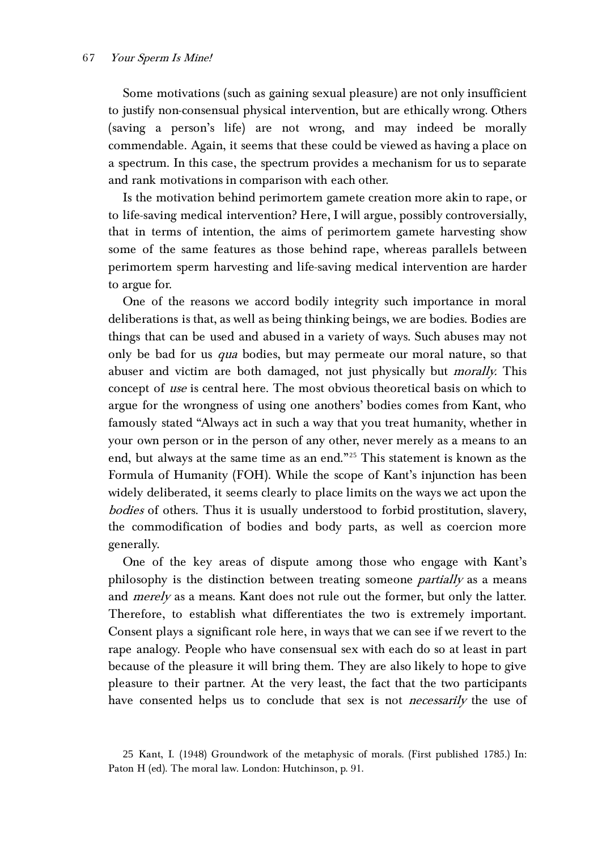Some motivations (such as gaining sexual pleasure) are not only insufficient to justify non-consensual physical intervention, but are ethically wrong. Others (saving a person's life) are not wrong, and may indeed be morally commendable. Again, it seems that these could be viewed as having a place on a spectrum. In this case, the spectrum provides a mechanism for us to separate and rank motivations in comparison with each other.

Is the motivation behind perimortem gamete creation more akin to rape, or to life-saving medical intervention? Here, I will argue, possibly controversially, that in terms of intention, the aims of perimortem gamete harvesting show some of the same features as those behind rape, whereas parallels between perimortem sperm harvesting and life-saving medical intervention are harder to argue for.

One of the reasons we accord bodily integrity such importance in moral deliberations is that, as well as being thinking beings, we are bodies. Bodies are things that can be used and abused in a variety of ways. Such abuses may not only be bad for us *qua* bodies, but may permeate our moral nature, so that abuser and victim are both damaged, not just physically but *morally*. This concept of use is central here. The most obvious theoretical basis on which to argue for the wrongness of using one anothers' bodies comes from Kant, who famously stated "Always act in such a way that you treat humanity, whether in your own person or in the person of any other, never merely as a means to an end, but always at the same time as an end."[25](#page-14-0) This statement is known as the Formula of Humanity (FOH). While the scope of Kant's injunction has been widely deliberated, it seems clearly to place limits on the ways we act upon the bodies of others. Thus it is usually understood to forbid prostitution, slavery, the commodification of bodies and body parts, as well as coercion more generally.

One of the key areas of dispute among those who engage with Kant's philosophy is the distinction between treating someone *partially* as a means and *merely* as a means. Kant does not rule out the former, but only the latter. Therefore, to establish what differentiates the two is extremely important. Consent plays a significant role here, in ways that we can see if we revert to the rape analogy. People who have consensual sex with each do so at least in part because of the pleasure it will bring them. They are also likely to hope to give pleasure to their partner. At the very least, the fact that the two participants have consented helps us to conclude that sex is not *necessarily* the use of

<span id="page-14-0"></span><sup>25</sup> Kant, I. (1948) Groundwork of the metaphysic of morals. (First published 1785.) In: Paton H (ed). The moral law. London: Hutchinson, p. 91.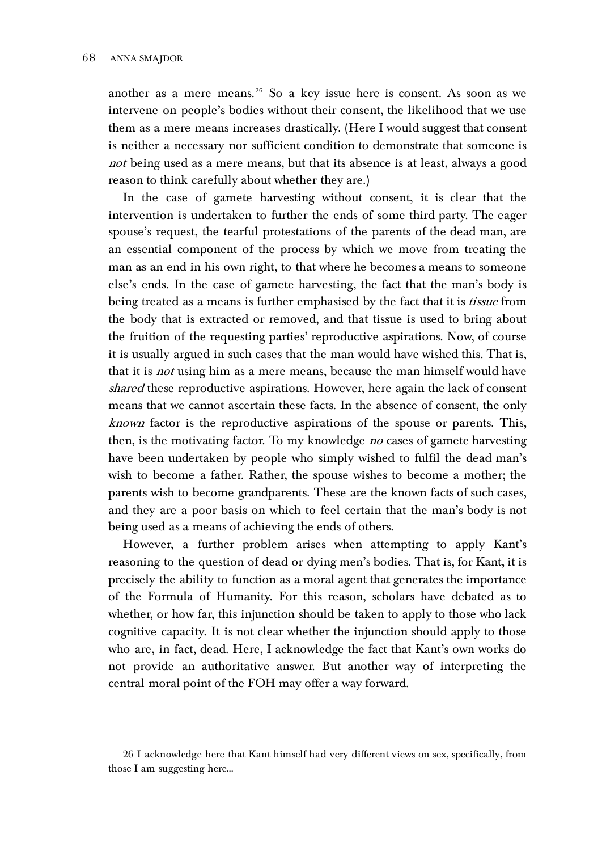another as a mere means.<sup>[26](#page-15-0)</sup> So a key issue here is consent. As soon as we intervene on people's bodies without their consent, the likelihood that we use them as a mere means increases drastically. (Here I would suggest that consent is neither a necessary nor sufficient condition to demonstrate that someone is not being used as a mere means, but that its absence is at least, always a good reason to think carefully about whether they are.)

In the case of gamete harvesting without consent, it is clear that the intervention is undertaken to further the ends of some third party. The eager spouse's request, the tearful protestations of the parents of the dead man, are an essential component of the process by which we move from treating the man as an end in his own right, to that where he becomes a means to someone else's ends. In the case of gamete harvesting, the fact that the man's body is being treated as a means is further emphasised by the fact that it is *tissue* from the body that is extracted or removed, and that tissue is used to bring about the fruition of the requesting parties' reproductive aspirations. Now, of course it is usually argued in such cases that the man would have wished this. That is, that it is *not* using him as a mere means, because the man himself would have shared these reproductive aspirations. However, here again the lack of consent means that we cannot ascertain these facts. In the absence of consent, the only known factor is the reproductive aspirations of the spouse or parents. This, then, is the motivating factor. To my knowledge *no* cases of gamete harvesting have been undertaken by people who simply wished to fulfil the dead man's wish to become a father. Rather, the spouse wishes to become a mother; the parents wish to become grandparents. These are the known facts of such cases, and they are a poor basis on which to feel certain that the man's body is not being used as a means of achieving the ends of others.

However, a further problem arises when attempting to apply Kant's reasoning to the question of dead or dying men's bodies. That is, for Kant, it is precisely the ability to function as a moral agent that generates the importance of the Formula of Humanity. For this reason, scholars have debated as to whether, or how far, this injunction should be taken to apply to those who lack cognitive capacity. It is not clear whether the injunction should apply to those who are, in fact, dead. Here, I acknowledge the fact that Kant's own works do not provide an authoritative answer. But another way of interpreting the central moral point of the FOH may offer a way forward.

<span id="page-15-0"></span><sup>26</sup> I acknowledge here that Kant himself had very different views on sex, specifically, from those I am suggesting here…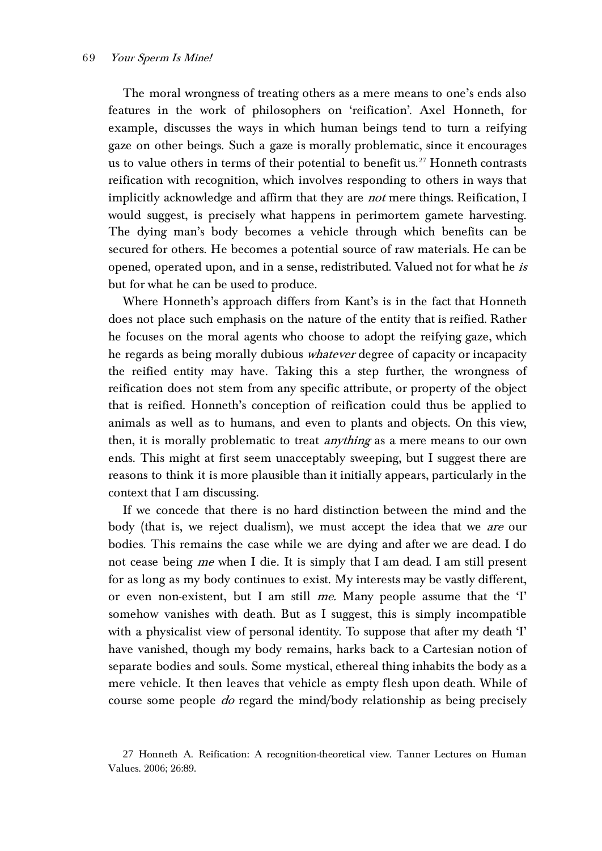The moral wrongness of treating others as a mere means to one's ends also features in the work of philosophers on 'reification'. Axel Honneth, for example, discusses the ways in which human beings tend to turn a reifying gaze on other beings. Such a gaze is morally problematic, since it encourages us to value others in terms of their potential to benefit us.<sup>[27](#page-16-0)</sup> Honneth contrasts reification with recognition, which involves responding to others in ways that implicitly acknowledge and affirm that they are *not* mere things. Reification, I would suggest, is precisely what happens in perimortem gamete harvesting. The dying man's body becomes a vehicle through which benefits can be secured for others. He becomes a potential source of raw materials. He can be opened, operated upon, and in a sense, redistributed. Valued not for what he is but for what he can be used to produce.

Where Honneth's approach differs from Kant's is in the fact that Honneth does not place such emphasis on the nature of the entity that is reified. Rather he focuses on the moral agents who choose to adopt the reifying gaze, which he regards as being morally dubious *whatever* degree of capacity or incapacity the reified entity may have. Taking this a step further, the wrongness of reification does not stem from any specific attribute, or property of the object that is reified. Honneth's conception of reification could thus be applied to animals as well as to humans, and even to plants and objects. On this view, then, it is morally problematic to treat *anything* as a mere means to our own ends. This might at first seem unacceptably sweeping, but I suggest there are reasons to think it is more plausible than it initially appears, particularly in the context that I am discussing.

If we concede that there is no hard distinction between the mind and the body (that is, we reject dualism), we must accept the idea that we *are* our bodies. This remains the case while we are dying and after we are dead. I do not cease being me when I die. It is simply that I am dead. I am still present for as long as my body continues to exist. My interests may be vastly different, or even non-existent, but I am still me. Many people assume that the  $T$ somehow vanishes with death. But as I suggest, this is simply incompatible with a physicalist view of personal identity. To suppose that after my death 'I' have vanished, though my body remains, harks back to a Cartesian notion of separate bodies and souls. Some mystical, ethereal thing inhabits the body as a mere vehicle. It then leaves that vehicle as empty flesh upon death. While of course some people *do* regard the mind/body relationship as being precisely

<span id="page-16-0"></span><sup>27</sup> Honneth A. Reification: A recognition-theoretical view. Tanner Lectures on Human Values. 2006; 26:89.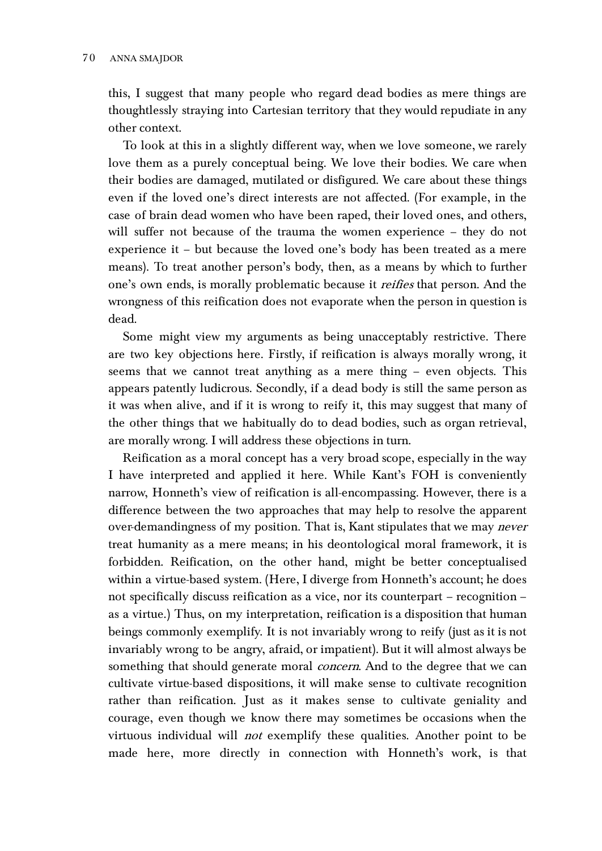this, I suggest that many people who regard dead bodies as mere things are thoughtlessly straying into Cartesian territory that they would repudiate in any other context.

To look at this in a slightly different way, when we love someone, we rarely love them as a purely conceptual being. We love their bodies. We care when their bodies are damaged, mutilated or disfigured. We care about these things even if the loved one's direct interests are not affected. (For example, in the case of brain dead women who have been raped, their loved ones, and others, will suffer not because of the trauma the women experience – they do not experience it – but because the loved one's body has been treated as a mere means). To treat another person's body, then, as a means by which to further one's own ends, is morally problematic because it *reifies* that person. And the wrongness of this reification does not evaporate when the person in question is dead.

Some might view my arguments as being unacceptably restrictive. There are two key objections here. Firstly, if reification is always morally wrong, it seems that we cannot treat anything as a mere thing – even objects. This appears patently ludicrous. Secondly, if a dead body is still the same person as it was when alive, and if it is wrong to reify it, this may suggest that many of the other things that we habitually do to dead bodies, such as organ retrieval, are morally wrong. I will address these objections in turn.

Reification as a moral concept has a very broad scope, especially in the way I have interpreted and applied it here. While Kant's FOH is conveniently narrow, Honneth's view of reification is all-encompassing. However, there is a difference between the two approaches that may help to resolve the apparent over-demandingness of my position. That is, Kant stipulates that we may *never* treat humanity as a mere means; in his deontological moral framework, it is forbidden. Reification, on the other hand, might be better conceptualised within a virtue-based system. (Here, I diverge from Honneth's account; he does not specifically discuss reification as a vice, nor its counterpart – recognition – as a virtue.) Thus, on my interpretation, reification is a disposition that human beings commonly exemplify. It is not invariably wrong to reify (just as it is not invariably wrong to be angry, afraid, or impatient). But it will almost always be something that should generate moral *concern*. And to the degree that we can cultivate virtue-based dispositions, it will make sense to cultivate recognition rather than reification. Just as it makes sense to cultivate geniality and courage, even though we know there may sometimes be occasions when the virtuous individual will *not* exemplify these qualities. Another point to be made here, more directly in connection with Honneth's work, is that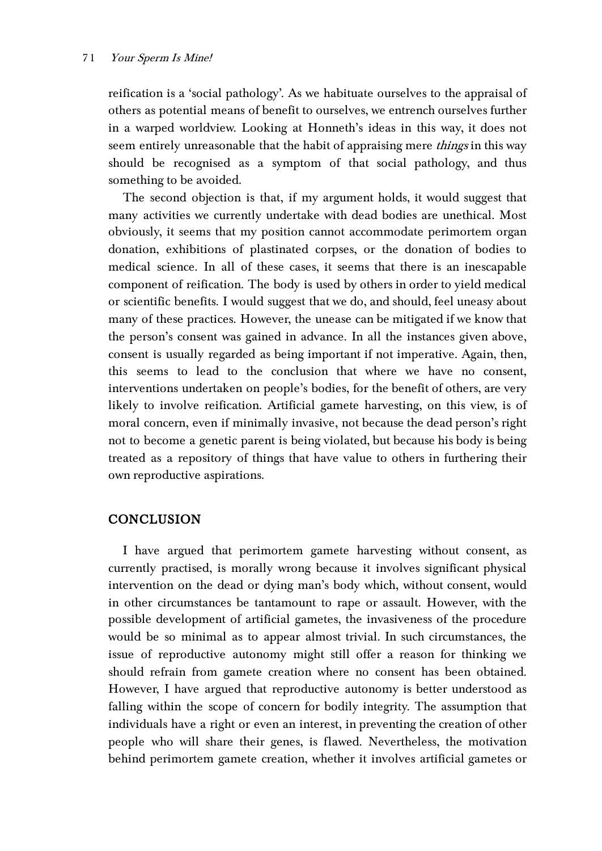### 71 Your Sperm Is Mine!

reification is a 'social pathology'. As we habituate ourselves to the appraisal of others as potential means of benefit to ourselves, we entrench ourselves further in a warped worldview. Looking at Honneth's ideas in this way, it does not seem entirely unreasonable that the habit of appraising mere *things* in this way should be recognised as a symptom of that social pathology, and thus something to be avoided.

The second objection is that, if my argument holds, it would suggest that many activities we currently undertake with dead bodies are unethical. Most obviously, it seems that my position cannot accommodate perimortem organ donation, exhibitions of plastinated corpses, or the donation of bodies to medical science. In all of these cases, it seems that there is an inescapable component of reification. The body is used by others in order to yield medical or scientific benefits. I would suggest that we do, and should, feel uneasy about many of these practices. However, the unease can be mitigated if we know that the person's consent was gained in advance. In all the instances given above, consent is usually regarded as being important if not imperative. Again, then, this seems to lead to the conclusion that where we have no consent, interventions undertaken on people's bodies, for the benefit of others, are very likely to involve reification. Artificial gamete harvesting, on this view, is of moral concern, even if minimally invasive, not because the dead person's right not to become a genetic parent is being violated, but because his body is being treated as a repository of things that have value to others in furthering their own reproductive aspirations.

## **CONCLUSION**

I have argued that perimortem gamete harvesting without consent, as currently practised, is morally wrong because it involves significant physical intervention on the dead or dying man's body which, without consent, would in other circumstances be tantamount to rape or assault. However, with the possible development of artificial gametes, the invasiveness of the procedure would be so minimal as to appear almost trivial. In such circumstances, the issue of reproductive autonomy might still offer a reason for thinking we should refrain from gamete creation where no consent has been obtained. However, I have argued that reproductive autonomy is better understood as falling within the scope of concern for bodily integrity. The assumption that individuals have a right or even an interest, in preventing the creation of other people who will share their genes, is flawed. Nevertheless, the motivation behind perimortem gamete creation, whether it involves artificial gametes or